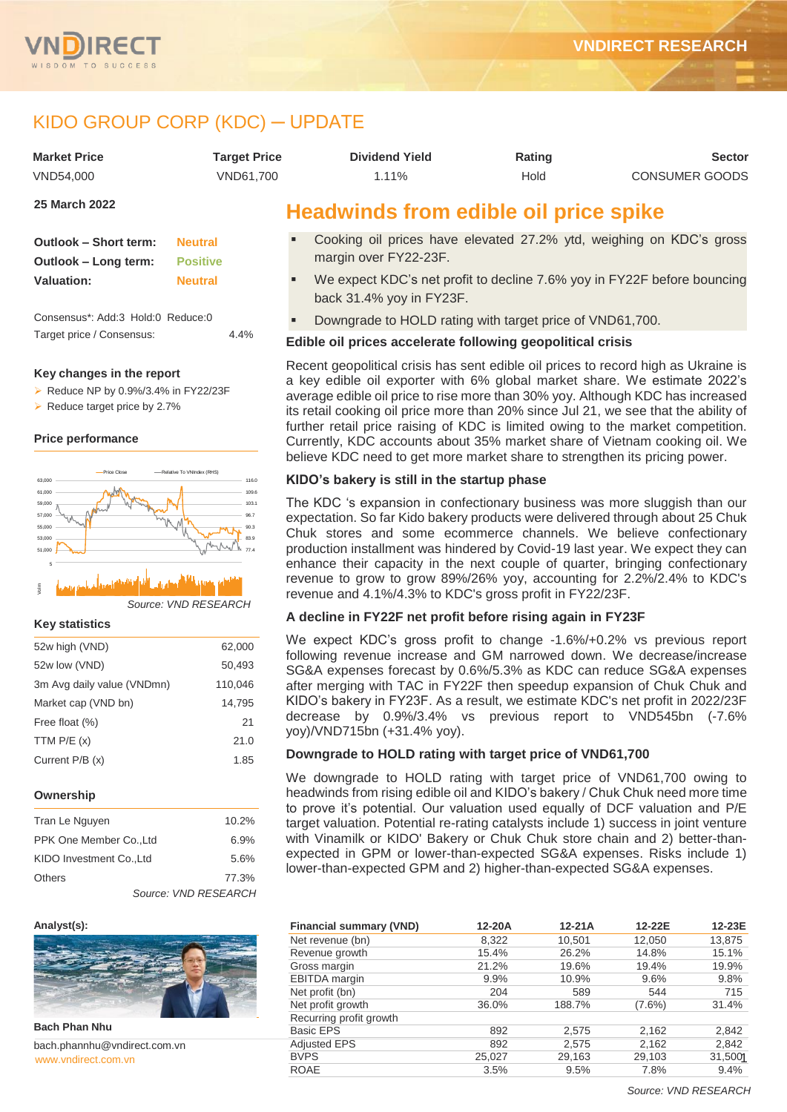



# KIDO GROUP CORP (KDC) ─ UPDATE

| <b>Market Price</b> | <b>Target Price</b> | <b>Dividend Yield</b> | Rating | <b>Sector</b>         |
|---------------------|---------------------|-----------------------|--------|-----------------------|
| VND54.000           | VND61.700           | 1.11%                 | Hold   | <b>CONSUMER GOODS</b> |

**25 March 2022**

| <b>Outlook - Short term:</b> | <b>Neutral</b>  |
|------------------------------|-----------------|
| Outlook – Long term:         | <b>Positive</b> |
| <b>Valuation:</b>            | <b>Neutral</b>  |

Consensus\*: Add:3 Hold:0 Reduce:0 Target price / Consensus: 4.4%

### **Key changes in the report**

 $\triangleright$  Reduce NP by 0.9%/3.4% in FY22/23F

Reduce target price by 2.7%

### **Price performance**



### **Key statistics**

| 52w high (VND)             | 62,000  |
|----------------------------|---------|
| 52w low (VND)              | 50,493  |
| 3m Avg daily value (VNDmn) | 110,046 |
| Market cap (VND bn)        | 14.795  |
| Free float (%)             | 21      |
| TTM $P/E(x)$               | 21.0    |
| Current P/B (x)            | 1.85    |
|                            |         |

### **Ownership**

| Tran Le Nguyen           | 10.2%                |       |
|--------------------------|----------------------|-------|
| PPK One Member Co., Ltd  | 6.9%                 |       |
| KIDO Investment Co., Ltd | 5.6%                 |       |
| Others                   |                      | 77.3% |
|                          | Source: VND RESEARCH |       |

### **Analyst(s):**



**Bach Phan Nhu**

www.vndirect.com.vr bach.phannhu@vndirect.com.vn

# **Headwinds from edible oil price spike**

- Cooking oil prices have elevated 27.2% ytd, weighing on KDC's gross margin over FY22-23F.
- We expect KDC's net profit to decline 7.6% yoy in FY22F before bouncing back 31.4% yoy in FY23F.
- Downgrade to HOLD rating with target price of VND61,700.

## **Edible oil prices accelerate following geopolitical crisis**

Recent geopolitical crisis has sent edible oil prices to record high as Ukraine is a key edible oil exporter with 6% global market share. We estimate 2022's average edible oil price to rise more than 30% yoy. Although KDC has increased its retail cooking oil price more than 20% since Jul 21, we see that the ability of further retail price raising of KDC is limited owing to the market competition. Currently, KDC accounts about 35% market share of Vietnam cooking oil. We believe KDC need to get more market share to strengthen its pricing power.

## **KIDO's bakery is still in the startup phase**

The KDC 's expansion in confectionary business was more sluggish than our expectation. So far Kido bakery products were delivered through about 25 Chuk Chuk stores and some ecommerce channels. We believe confectionary production installment was hindered by Covid-19 last year. We expect they can enhance their capacity in the next couple of quarter, bringing confectionary revenue to grow to grow 89%/26% yoy, accounting for 2.2%/2.4% to KDC's revenue and 4.1%/4.3% to KDC's gross profit in FY22/23F.

## **A decline in FY22F net profit before rising again in FY23F**

We expect KDC's gross profit to change -1.6%/+0.2% vs previous report following revenue increase and GM narrowed down. We decrease/increase SG&A expenses forecast by 0.6%/5.3% as KDC can reduce SG&A expenses after merging with TAC in FY22F then speedup expansion of Chuk Chuk and KIDO's bakery in FY23F. As a result, we estimate KDC's net profit in 2022/23F decrease by 0.9%/3.4% vs previous report to VND545bn (-7.6% yoy)/VND715bn (+31.4% yoy).

## **Downgrade to HOLD rating with target price of VND61,700**

We downgrade to HOLD rating with target price of VND61,700 owing to headwinds from rising edible oil and KIDO's bakery / Chuk Chuk need more time to prove it's potential. Our valuation used equally of DCF valuation and P/E target valuation. Potential re-rating catalysts include 1) success in joint venture with Vinamilk or KIDO' Bakery or Chuk Chuk store chain and 2) better-thanexpected in GPM or lower-than-expected SG&A expenses. Risks include 1) lower-than-expected GPM and 2) higher-than-expected SG&A expenses.

| <b>Financial summary (VND)</b> | 12-20A  | $12-21A$ | 12-22E    | 12-23E  |
|--------------------------------|---------|----------|-----------|---------|
| Net revenue (bn)               | 8.322   | 10,501   | 12,050    | 13,875  |
| Revenue growth                 | 15.4%   | 26.2%    | 14.8%     | 15.1%   |
| Gross margin                   | 21.2%   | 19.6%    | 19.4%     | 19.9%   |
| <b>EBITDA</b> margin           | $9.9\%$ | 10.9%    | 9.6%      | 9.8%    |
| Net profit (bn)                | 204     | 589      | 544       | 715     |
| Net profit growth              | 36.0%   | 188.7%   | $(7.6\%)$ | 31.4%   |
| Recurring profit growth        |         |          |           |         |
| <b>Basic EPS</b>               | 892     | 2,575    | 2,162     | 2,842   |
| <b>Adjusted EPS</b>            | 892     | 2,575    | 2,162     | 2,842   |
| <b>BVPS</b>                    | 25,027  | 29,163   | 29,103    | 31,5001 |
| <b>ROAE</b>                    | 3.5%    | 9.5%     | 7.8%      | 9.4%    |

*Source: VND RESEARCH*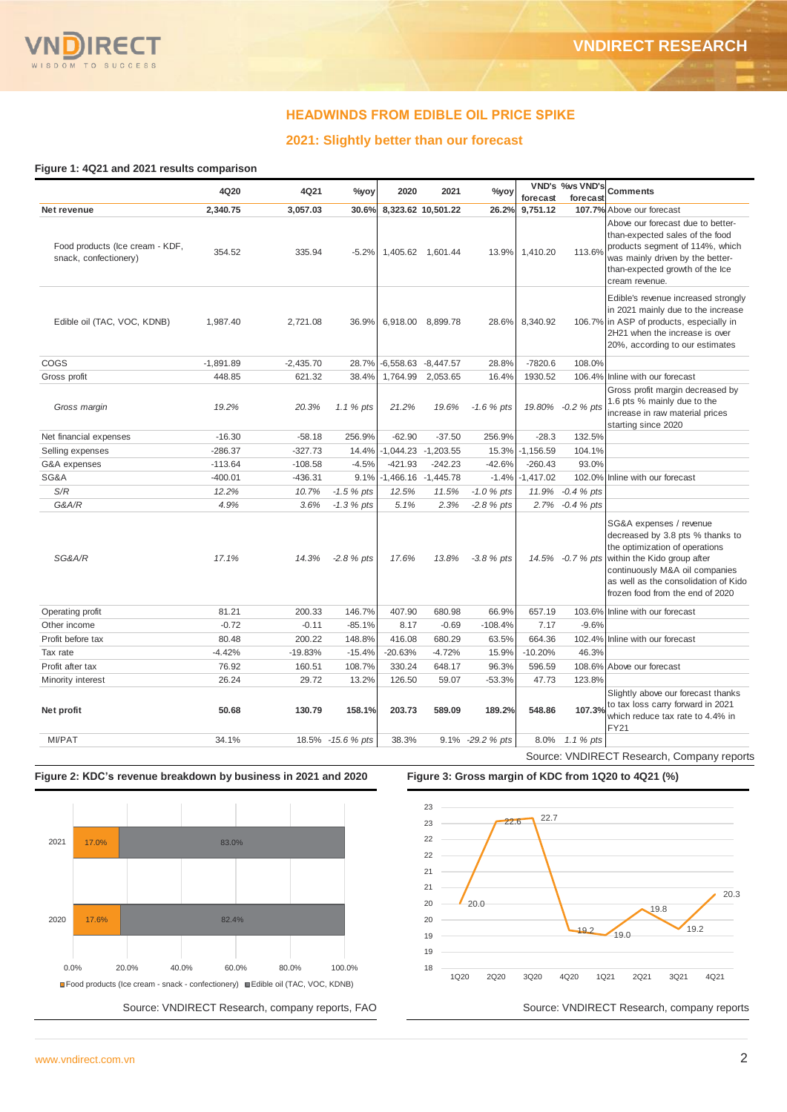## **HEADWINDS FROM EDIBLE OIL PRICE SPIKE**

## **2021: Slightly better than our forecast**

### **Figure 1: 4Q21 and 2021 results comparison**

|                                                          | 4Q20        | 4Q21        | %yoy              | 2020                  | 2021                    | $\%$ yoy         |             | VND's %vs VND's   | <b>Comments</b>                                                                                                                                                                                                                            |
|----------------------------------------------------------|-------------|-------------|-------------------|-----------------------|-------------------------|------------------|-------------|-------------------|--------------------------------------------------------------------------------------------------------------------------------------------------------------------------------------------------------------------------------------------|
|                                                          |             |             |                   |                       |                         |                  | forecast    | forecast          |                                                                                                                                                                                                                                            |
| Net revenue                                              | 2,340.75    | 3.057.03    | 30.6%             |                       | 8,323.62 10,501.22      | 26.2%            | 9,751.12    |                   | 107.7% Above our forecast                                                                                                                                                                                                                  |
| Food products (Ice cream - KDF,<br>snack, confectionery) | 354.52      | 335.94      | $-5.2%$           |                       | 1,405.62 1,601.44       | 13.9%            | 1,410.20    | 113.6%            | Above our forecast due to better-<br>than-expected sales of the food<br>products segment of 114%, which<br>was mainly driven by the better-<br>than-expected growth of the Ice<br>cream revenue.                                           |
| Edible oil (TAC, VOC, KDNB)                              | 1,987.40    | 2,721.08    | 36.9%             |                       | 6,918.00 8,899.78       | 28.6%            | 8,340.92    |                   | Edible's revenue increased strongly<br>in 2021 mainly due to the increase<br>106.7% in ASP of products, especially in<br>2H21 when the increase is over<br>20%, according to our estimates                                                 |
| COGS                                                     | $-1,891.89$ | $-2,435.70$ | 28.7%             | $-6,558.63 -8,447.57$ |                         | 28.8%            | $-7820.6$   | 108.0%            |                                                                                                                                                                                                                                            |
| Gross profit                                             | 448.85      | 621.32      | 38.4%             | 1,764.99              | 2,053.65                | 16.4%            | 1930.52     | 106.4%            | Inline with our forecast                                                                                                                                                                                                                   |
| Gross margin                                             | 19.2%       | 20.3%       | 1.1 % pts         | 21.2%                 | 19.6%                   | $-1.6 \%$ pts    |             | 19.80% -0.2 % pts | Gross profit margin decreased by<br>1.6 pts % mainly due to the<br>increase in raw material prices<br>starting since 2020                                                                                                                  |
| Net financial expenses                                   | $-16.30$    | $-58.18$    | 256.9%            | $-62.90$              | $-37.50$                | 256.9%           | $-28.3$     | 132.5%            |                                                                                                                                                                                                                                            |
| Selling expenses                                         | $-286.37$   | $-327.73$   | 14.4%             |                       | $-1,044.23$ $-1,203.55$ | 15.3%            | $-1,156.59$ | 104.1%            |                                                                                                                                                                                                                                            |
| G&A expenses                                             | $-113.64$   | $-108.58$   | $-4.5%$           | $-421.93$             | $-242.23$               | $-42.6%$         | $-260.43$   | 93.0%             |                                                                                                                                                                                                                                            |
| SG&A                                                     | $-400.01$   | $-436.31$   | 9.1%              | $-1,466.16$           | $-1,445.78$             | $-1.4%$          | $-1,417.02$ | 102.0%            | Inline with our forecast                                                                                                                                                                                                                   |
| S/R                                                      | 12.2%       | 10.7%       | $-1.5 %$ pts      | 12.5%                 | 11.5%                   | $-1.0 \%$ pts    | 11.9%       | $-0.4%$ pts       |                                                                                                                                                                                                                                            |
| G&A/R                                                    | 4.9%        | 3.6%        | $-1.3 \%$ pts     | 5.1%                  | 2.3%                    | $-2.8 \%$ pts    | 2.7%        | $-0.4%$ pts       |                                                                                                                                                                                                                                            |
| SG&A/R                                                   | 17.1%       | 14.3%       | $-2.8 \%$ pts     | 17.6%                 | 13.8%                   | $-3.8 \%$ pts    |             | 14.5% -0.7 % pts  | SG&A expenses / revenue<br>decreased by 3.8 pts % thanks to<br>the optimization of operations<br>within the Kido group after<br>continuously M&A oil companies<br>as well as the consolidation of Kido<br>frozen food from the end of 2020 |
| Operating profit                                         | 81.21       | 200.33      | 146.7%            | 407.90                | 680.98                  | 66.9%            | 657.19      |                   | 103.6% Inline with our forecast                                                                                                                                                                                                            |
| Other income                                             | $-0.72$     | $-0.11$     | $-85.1%$          | 8.17                  | $-0.69$                 | $-108.4%$        | 7.17        | $-9.6%$           |                                                                                                                                                                                                                                            |
| Profit before tax                                        | 80.48       | 200.22      | 148.8%            | 416.08                | 680.29                  | 63.5%            | 664.36      |                   | 102.4% Inline with our forecast                                                                                                                                                                                                            |
| Tax rate                                                 | $-4.42%$    | $-19.83%$   | $-15.4%$          | $-20.63%$             | $-4.72%$                | 15.9%            | $-10.20%$   | 46.3%             |                                                                                                                                                                                                                                            |
| Profit after tax                                         | 76.92       | 160.51      | 108.7%            | 330.24                | 648.17                  | 96.3%            | 596.59      |                   | 108.6% Above our forecast                                                                                                                                                                                                                  |
| Minority interest                                        | 26.24       | 29.72       | 13.2%             | 126.50                | 59.07                   | $-53.3%$         | 47.73       | 123.8%            |                                                                                                                                                                                                                                            |
| Net profit                                               | 50.68       | 130.79      | 158.1%            | 203.73                | 589.09                  | 189.2%           | 548.86      | 107.3%            | Slightly above our forecast thanks<br>to tax loss carry forward in 2021<br>which reduce tax rate to 4.4% in<br><b>FY21</b>                                                                                                                 |
| <b>MI/PAT</b>                                            | 34.1%       |             | 18.5% -15.6 % pts | 38.3%                 |                         | 9.1% -29.2 % pts | 8.0%        | 1.1 % pts         |                                                                                                                                                                                                                                            |
|                                                          |             |             |                   |                       |                         |                  |             |                   | Source: VNDIRECT Research, Company reports                                                                                                                                                                                                 |





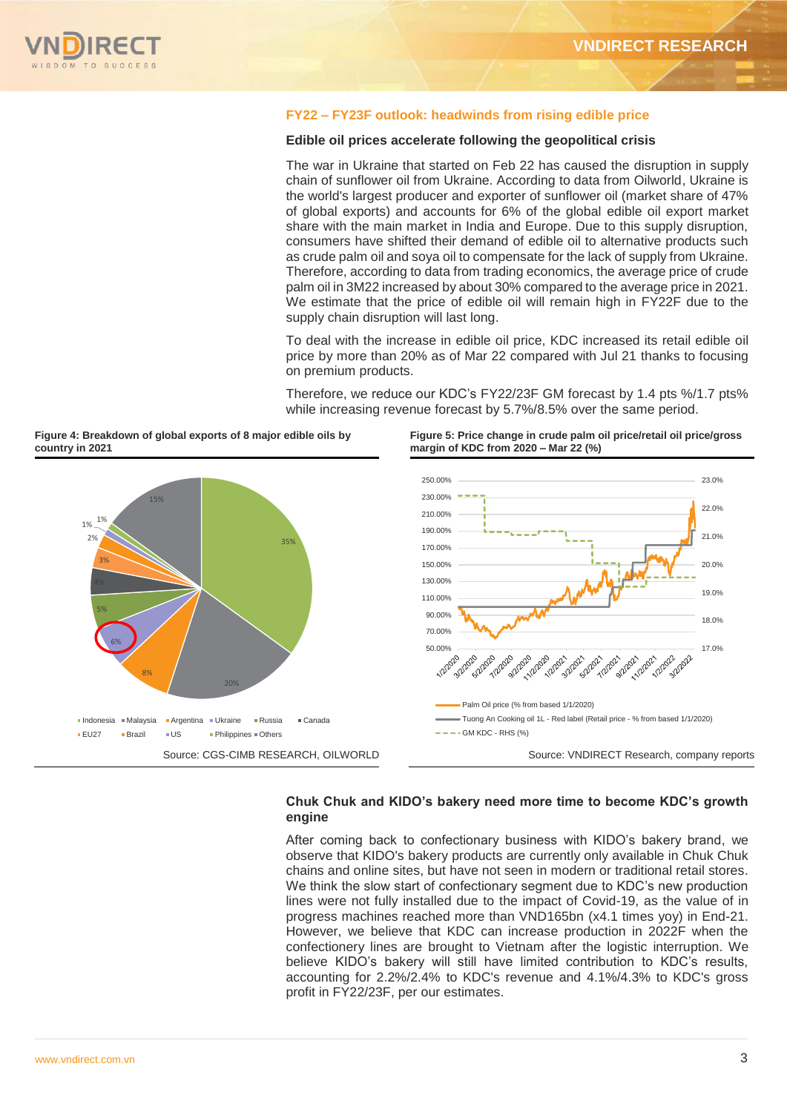

## **FY22 – FY23F outlook: headwinds from rising edible price**

### **Edible oil prices accelerate following the geopolitical crisis**

The war in Ukraine that started on Feb 22 has caused the disruption in supply chain of sunflower oil from Ukraine. According to data from Oilworld, Ukraine is the world's largest producer and exporter of sunflower oil (market share of 47% of global exports) and accounts for 6% of the global edible oil export market share with the main market in India and Europe. Due to this supply disruption, consumers have shifted their demand of edible oil to alternative products such as crude palm oil and soya oil to compensate for the lack of supply from Ukraine. Therefore, according to data from trading economics, the average price of crude palm oil in 3M22 increased by about 30% compared to the average price in 2021. We estimate that the price of edible oil will remain high in FY22F due to the supply chain disruption will last long.

To deal with the increase in edible oil price, KDC increased its retail edible oil price by more than 20% as of Mar 22 compared with Jul 21 thanks to focusing on premium products.

Therefore, we reduce our KDC's FY22/23F GM forecast by 1.4 pts %/1.7 pts% while increasing revenue forecast by 5.7%/8.5% over the same period.

**Figure 5: Price change in crude palm oil price/retail oil price/gross** 

**Figure 4: Breakdown of global exports of 8 major edible oils by country in 2021**



## **Chuk Chuk and KIDO's bakery need more time to become KDC's growth engine**

After coming back to confectionary business with KIDO's bakery brand, we observe that KIDO's bakery products are currently only available in Chuk Chuk chains and online sites, but have not seen in modern or traditional retail stores. We think the slow start of confectionary segment due to KDC's new production lines were not fully installed due to the impact of Covid-19, as the value of in progress machines reached more than VND165bn (x4.1 times yoy) in End-21. However, we believe that KDC can increase production in 2022F when the confectionery lines are brought to Vietnam after the logistic interruption. We believe KIDO's bakery will still have limited contribution to KDC's results, accounting for 2.2%/2.4% to KDC's revenue and 4.1%/4.3% to KDC's gross profit in FY22/23F, per our estimates.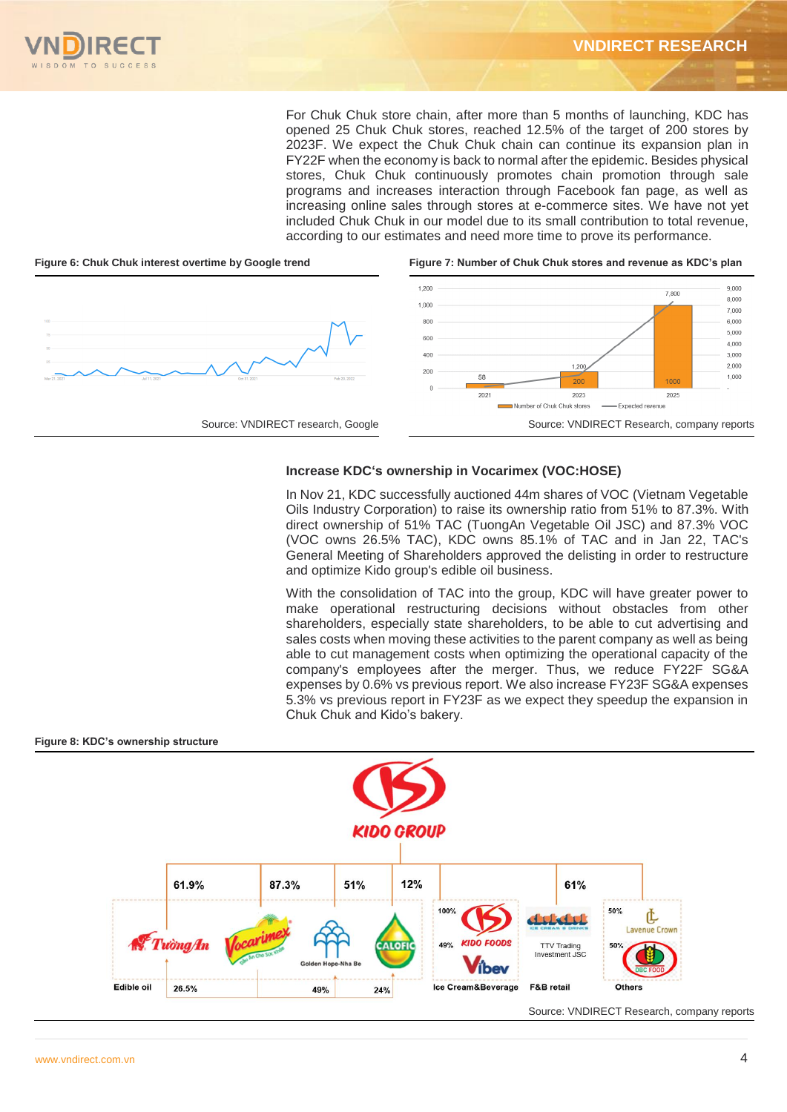For Chuk Chuk store chain, after more than 5 months of launching, KDC has opened 25 Chuk Chuk stores, reached 12.5% of the target of 200 stores by 2023F. We expect the Chuk Chuk chain can continue its expansion plan in FY22F when the economy is back to normal after the epidemic. Besides physical stores, Chuk Chuk continuously promotes chain promotion through sale programs and increases interaction through Facebook fan page, as well as increasing online sales through stores at e-commerce sites. We have not yet included Chuk Chuk in our model due to its small contribution to total revenue, according to our estimates and need more time to prove its performance.



# **Increase KDC's ownership in Vocarimex (VOC:HOSE)**

In Nov 21, KDC successfully auctioned 44m shares of VOC (Vietnam Vegetable Oils Industry Corporation) to raise its ownership ratio from 51% to 87.3%. With direct ownership of 51% TAC (TuongAn Vegetable Oil JSC) and 87.3% VOC (VOC owns 26.5% TAC), KDC owns 85.1% of TAC and in Jan 22, TAC's General Meeting of Shareholders approved the delisting in order to restructure and optimize Kido group's edible oil business.

With the consolidation of TAC into the group, KDC will have greater power to make operational restructuring decisions without obstacles from other shareholders, especially state shareholders, to be able to cut advertising and sales costs when moving these activities to the parent company as well as being able to cut management costs when optimizing the operational capacity of the company's employees after the merger. Thus, we reduce FY22F SG&A expenses by 0.6% vs previous report. We also increase FY23F SG&A expenses 5.3% vs previous report in FY23F as we expect they speedup the expansion in Chuk Chuk and Kido's bakery.

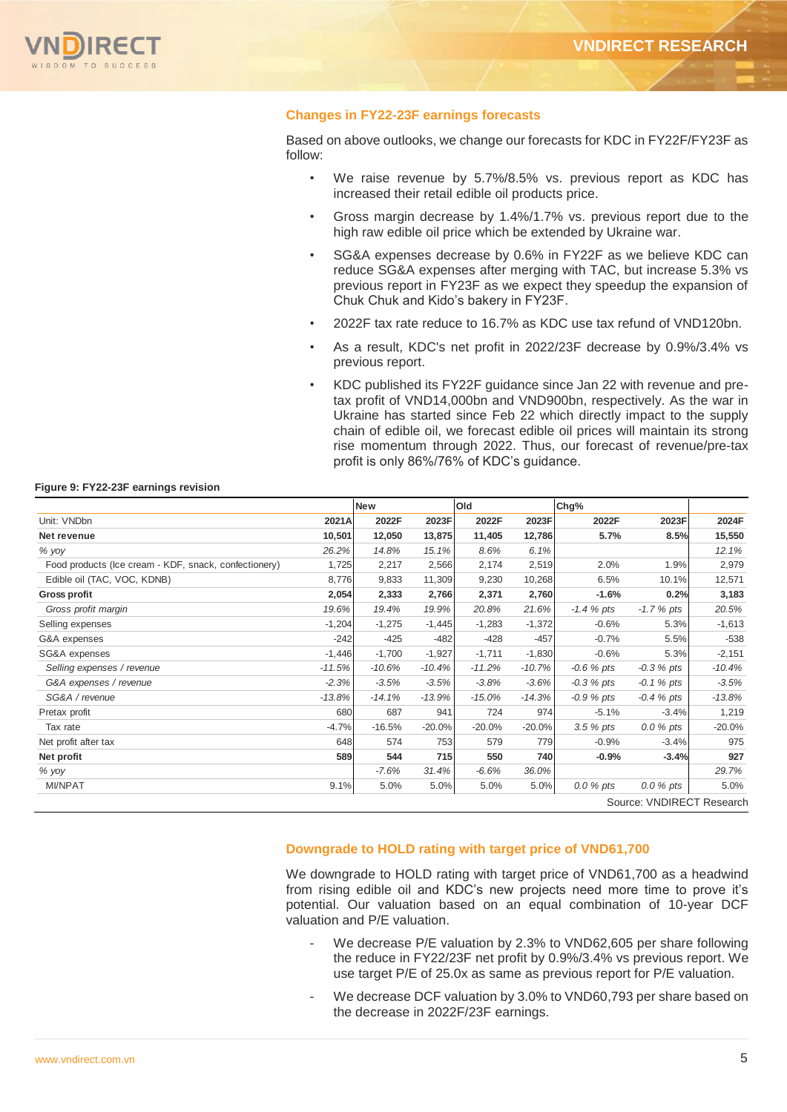

### **Changes in FY22-23F earnings forecasts**

Based on above outlooks, we change our forecasts for KDC in FY22F/FY23F as follow:

- We raise revenue by 5.7%/8.5% vs. previous report as KDC has increased their retail edible oil products price.
- Gross margin decrease by 1.4%/1.7% vs. previous report due to the high raw edible oil price which be extended by Ukraine war.
- SG&A expenses decrease by 0.6% in FY22F as we believe KDC can reduce SG&A expenses after merging with TAC, but increase 5.3% vs previous report in FY23F as we expect they speedup the expansion of Chuk Chuk and Kido's bakery in FY23F.
- 2022F tax rate reduce to 16.7% as KDC use tax refund of VND120bn.
- As a result, KDC's net profit in 2022/23F decrease by 0.9%/3.4% vs previous report.
- KDC published its FY22F guidance since Jan 22 with revenue and pretax profit of VND14,000bn and VND900bn, respectively. As the war in Ukraine has started since Feb 22 which directly impact to the supply chain of edible oil, we forecast edible oil prices will maintain its strong rise momentum through 2022. Thus, our forecast of revenue/pre-tax profit is only 86%/76% of KDC's guidance.

### **Figure 9: FY22-23F earnings revision**

|                                                       |          | <b>New</b> |          | Old      |          | Chg%          |                           |          |
|-------------------------------------------------------|----------|------------|----------|----------|----------|---------------|---------------------------|----------|
| Unit: VNDbn                                           | 2021A    | 2022F      | 2023F    | 2022F    | 2023F    | 2022F         | 2023F                     | 2024F    |
| Net revenue                                           | 10,501   | 12,050     | 13,875   | 11,405   | 12,786   | 5.7%          | 8.5%                      | 15,550   |
| $%$ yoy                                               | 26.2%    | 14.8%      | 15.1%    | 8.6%     | 6.1%     |               |                           | 12.1%    |
| Food products (Ice cream - KDF, snack, confectionery) | 1,725    | 2,217      | 2,566    | 2,174    | 2,519    | 2.0%          | 1.9%                      | 2,979    |
| Edible oil (TAC, VOC, KDNB)                           | 8,776    | 9,833      | 11,309   | 9,230    | 10,268   | 6.5%          | 10.1%                     | 12,571   |
| Gross profit                                          | 2,054    | 2,333      | 2,766    | 2,371    | 2,760    | $-1.6%$       | 0.2%                      | 3,183    |
| Gross profit margin                                   | 19.6%    | 19.4%      | 19.9%    | 20.8%    | 21.6%    | $-1.4 \%$ pts | $-1.7%$ pts               | 20.5%    |
| Selling expenses                                      | $-1,204$ | $-1,275$   | $-1,445$ | $-1,283$ | $-1,372$ | $-0.6%$       | 5.3%                      | $-1,613$ |
| G&A expenses                                          | $-242$   | $-425$     | $-482$   | $-428$   | $-457$   | $-0.7%$       | 5.5%                      | $-538$   |
| SG&A expenses                                         | $-1,446$ | $-1,700$   | $-1,927$ | $-1,711$ | $-1,830$ | $-0.6%$       | 5.3%                      | $-2,151$ |
| Selling expenses / revenue                            | $-11.5%$ | $-10.6%$   | $-10.4%$ | $-11.2%$ | $-10.7%$ | $-0.6 \%$ pts | $-0.3 \%$ pts             | $-10.4%$ |
| G&A expenses / revenue                                | $-2.3%$  | $-3.5%$    | $-3.5%$  | $-3.8%$  | $-3.6%$  | $-0.3 \%$ pts | $-0.1 \%$ pts             | $-3.5%$  |
| SG&A / revenue                                        | $-13.8%$ | $-14.1%$   | $-13.9%$ | $-15.0%$ | $-14.3%$ | $-0.9%$ pts   | $-0.4 \%$ pts             | $-13.8%$ |
| Pretax profit                                         | 680      | 687        | 941      | 724      | 974      | $-5.1%$       | $-3.4%$                   | 1,219    |
| Tax rate                                              | $-4.7%$  | $-16.5%$   | $-20.0%$ | $-20.0%$ | $-20.0%$ | $3.5%$ pts    | $0.0 %$ pts               | $-20.0%$ |
| Net profit after tax                                  | 648      | 574        | 753      | 579      | 779      | $-0.9%$       | $-3.4%$                   | 975      |
| Net profit                                            | 589      | 544        | 715      | 550      | 740      | $-0.9%$       | $-3.4%$                   | 927      |
| $%$ yoy                                               |          | -7.6%      | 31.4%    | $-6.6%$  | 36.0%    |               |                           | 29.7%    |
| <b>MI/NPAT</b>                                        | 9.1%     | 5.0%       | 5.0%     | 5.0%     | 5.0%     | $0.0 %$ pts   | $0.0 %$ pts               | 5.0%     |
|                                                       |          |            |          |          |          |               | Source: VNDIRECT Research |          |

## **Downgrade to HOLD rating with target price of VND61,700**

We downgrade to HOLD rating with target price of VND61,700 as a headwind from rising edible oil and KDC's new projects need more time to prove it's potential. Our valuation based on an equal combination of 10-year DCF valuation and P/E valuation.

- We decrease P/E valuation by 2.3% to VND62,605 per share following the reduce in FY22/23F net profit by 0.9%/3.4% vs previous report. We use target P/E of 25.0x as same as previous report for P/E valuation.
- We decrease DCF valuation by 3.0% to VND60,793 per share based on the decrease in 2022F/23F earnings.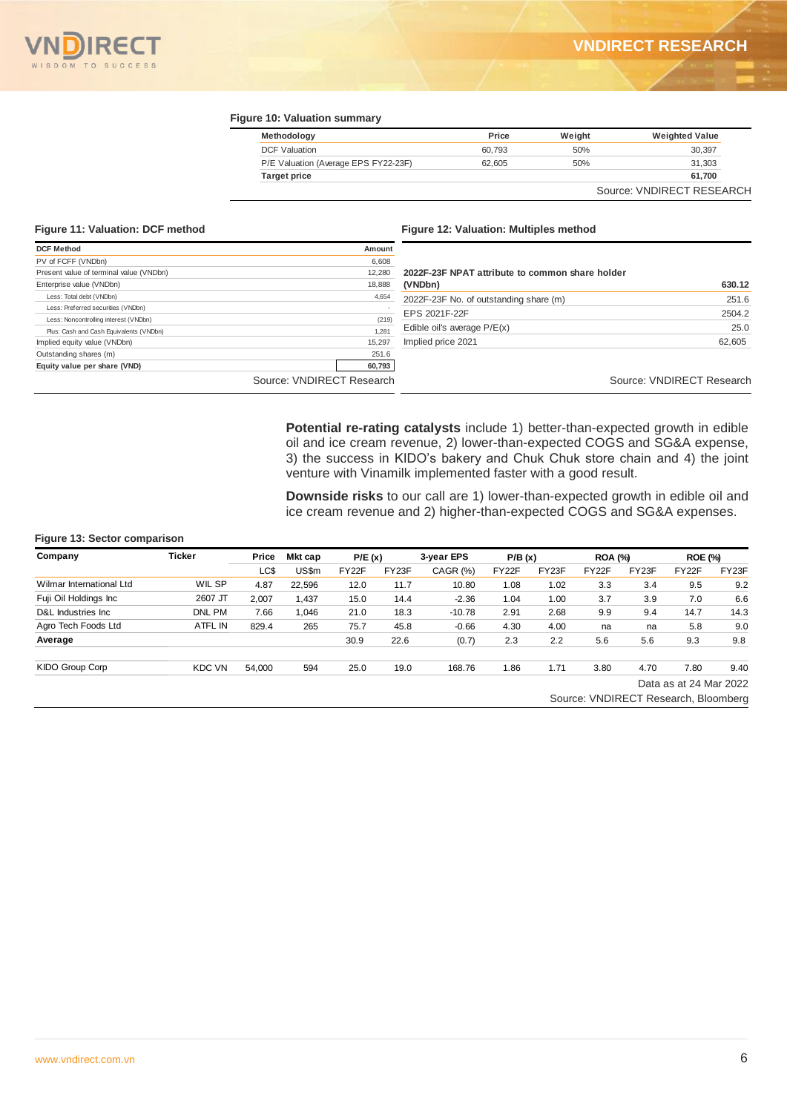

### **Figure 10: Valuation summary**

| Methodology                          | Price  | Weight | <b>Weighted Value</b>     |
|--------------------------------------|--------|--------|---------------------------|
| <b>DCF Valuation</b>                 | 60.793 | 50%    | 30,397                    |
| P/E Valuation (Average EPS FY22-23F) | 62.605 | 50%    | 31,303                    |
| <b>Target price</b>                  |        |        | 61,700                    |
|                                      |        |        | Source: VNDIRECT RESEARCH |

### **Figure 11: Valuation: DCF method Figure 12: Valuation: Multiples method**

| <b>DCF Method</b>                       | Amount                    |                                                 |                           |
|-----------------------------------------|---------------------------|-------------------------------------------------|---------------------------|
| PV of FCFF (VNDbn)                      | 6,608                     |                                                 |                           |
| Present value of terminal value (VNDbn) | 12.280                    | 2022F-23F NPAT attribute to common share holder |                           |
| Enterprise value (VNDbn)                | 18,888                    | (VNDbn)                                         | 630.12                    |
| Less: Total debt (VNDbn)                | 4,654                     | 2022F-23F No. of outstanding share (m)          | 251.6                     |
| Less: Preferred securities (VNDbn)      |                           | EPS 2021F-22F                                   | 2504.2                    |
| Less: Noncontrolling interest (VNDbn)   | (219)                     |                                                 |                           |
| Plus: Cash and Cash Equivalents (VNDbn) | 1,281                     | Edible oil's average $P/E(x)$                   | 25.0                      |
| Implied equity value (VNDbn)            | 15,297                    | Implied price 2021                              | 62,605                    |
| Outstanding shares (m)                  | 251.6                     |                                                 |                           |
| Equity value per share (VND)            | 60,793                    |                                                 |                           |
|                                         | Source: VNDIRECT Research |                                                 | Source: VNDIRECT Research |

**Potential re-rating catalysts** include 1) better-than-expected growth in edible oil and ice cream revenue, 2) lower-than-expected COGS and SG&A expense, 3) the success in KIDO's bakery and Chuk Chuk store chain and 4) the joint venture with Vinamilk implemented faster with a good result.

**Downside risks** to our call are 1) lower-than-expected growth in edible oil and ice cream revenue and 2) higher-than-expected COGS and SG&A expenses.

## **Figure 13: Sector comparison**

| Company                  | <b>Ticker</b>  | Price  | Mkt cap | P/E(x) |       | 3-year EPS | P/B(x) |                                      | <b>ROA (%)</b> |       | <b>ROE (%)</b>         |       |
|--------------------------|----------------|--------|---------|--------|-------|------------|--------|--------------------------------------|----------------|-------|------------------------|-------|
|                          |                | LC\$   | US\$m   | FY22F  | FY23F | CAGR (%)   | FY22F  | FY23F                                | FY22F          | FY23F | FY22F                  | FY23F |
| Wilmar International Ltd | WIL SP         | 4.87   | 22.596  | 12.0   | 11.7  | 10.80      | 1.08   | 1.02                                 | 3.3            | 3.4   | 9.5                    | 9.2   |
| Fuji Oil Holdings Inc    | 2607 JT        | 2.007  | 1,437   | 15.0   | 14.4  | $-2.36$    | 1.04   | 1.00                                 | 3.7            | 3.9   | 7.0                    | 6.6   |
| D&L Industries Inc.      | DNL PM         | 7.66   | 1.046   | 21.0   | 18.3  | $-10.78$   | 2.91   | 2.68                                 | 9.9            | 9.4   | 14.7                   | 14.3  |
| Agro Tech Foods Ltd      | <b>ATFL IN</b> | 829.4  | 265     | 75.7   | 45.8  | $-0.66$    | 4.30   | 4.00                                 | na             | na    | 5.8                    | 9.0   |
| Average                  |                |        |         | 30.9   | 22.6  | (0.7)      | 2.3    | 2.2                                  | 5.6            | 5.6   | 9.3                    | 9.8   |
| KIDO Group Corp          | <b>KDC VN</b>  | 54,000 | 594     | 25.0   | 19.0  | 168.76     | 1.86   | 1.71                                 | 3.80           | 4.70  | 7.80                   | 9.40  |
|                          |                |        |         |        |       |            |        |                                      |                |       | Data as at 24 Mar 2022 |       |
|                          |                |        |         |        |       |            |        | Source: VNDIRECT Research, Bloomberg |                |       |                        |       |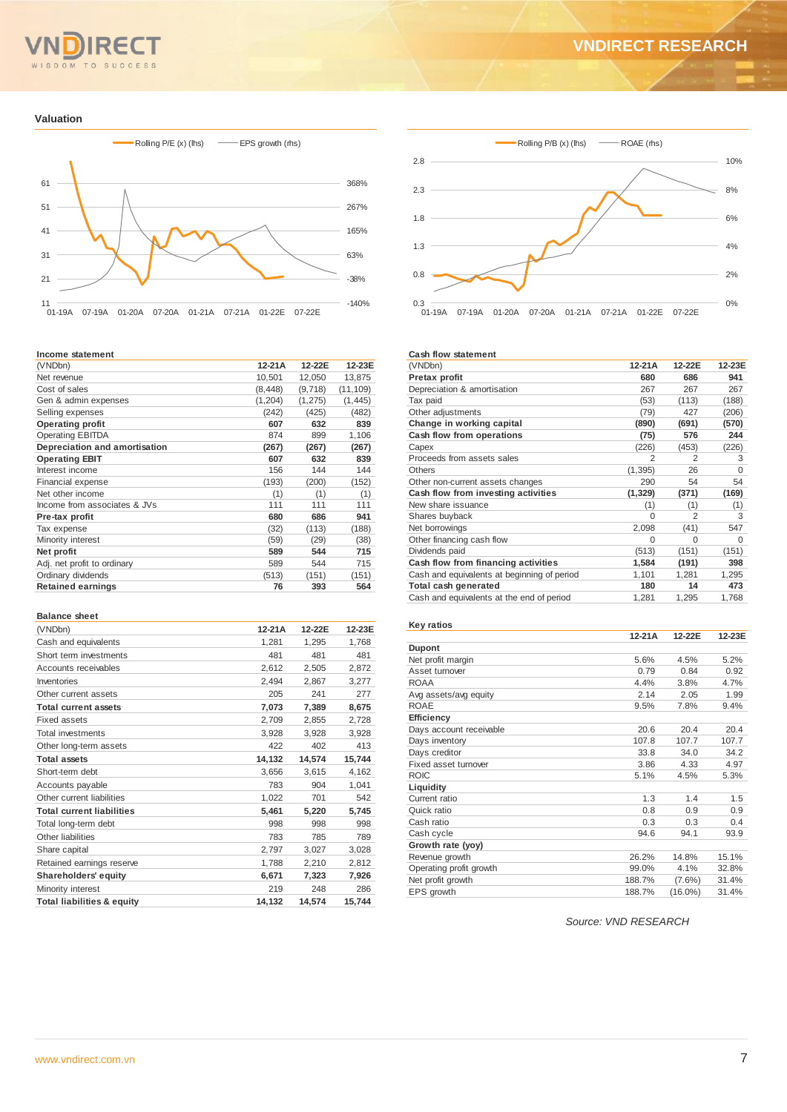

### **Valuation**



#### **Income statement**

| (VNDbn)                       | $12-21A$ | 12-22E   | 12-23E    |
|-------------------------------|----------|----------|-----------|
| Net revenue                   | 10,501   | 12,050   | 13,875    |
| Cost of sales                 | (8, 448) | (9,718)  | (11, 109) |
| Gen & admin expenses          | (1, 204) | (1, 275) | (1, 445)  |
| Selling expenses              | (242)    | (425)    | (482)     |
| <b>Operating profit</b>       | 607      | 632      | 839       |
| <b>Operating EBITDA</b>       | 874      | 899      | 1,106     |
| Depreciation and amortisation | (267)    | (267)    | (267)     |
| <b>Operating EBIT</b>         | 607      | 632      | 839       |
| Interest income               | 156      | 144      | 144       |
| Financial expense             | (193)    | (200)    | (152)     |
| Net other income              | (1)      | (1)      | (1)       |
| Income from associates & JVs  | 111      | 111      | 111       |
| Pre-tax profit                | 680      | 686      | 941       |
| Tax expense                   | (32)     | (113)    | (188)     |
| Minority interest             | (59)     | (29)     | (38)      |
| Net profit                    | 589      | 544      | 715       |
| Adj. net profit to ordinary   | 589      | 544      | 715       |
| Ordinary dividends            | (513)    | (151)    | (151)     |
| <b>Retained earnings</b>      | 76       | 393      | 564       |
|                               |          |          |           |

#### **Balance sheet**

| (VNDbn)                               | $12-21A$ | 12-22E | 12-23E |
|---------------------------------------|----------|--------|--------|
| Cash and equivalents                  | 1,281    | 1,295  | 1,768  |
| Short term investments                | 481      | 481    | 481    |
| Accounts receivables                  | 2,612    | 2,505  | 2,872  |
| Inventories                           | 2,494    | 2,867  | 3,277  |
| Other current assets                  | 205      | 241    | 277    |
| <b>Total current assets</b>           | 7,073    | 7,389  | 8,675  |
| <b>Fixed assets</b>                   | 2,709    | 2,855  | 2,728  |
| <b>Total investments</b>              | 3,928    | 3,928  | 3,928  |
| Other long-term assets                | 422      | 402    | 413    |
| <b>Total assets</b>                   | 14,132   | 14,574 | 15,744 |
| Short-term debt                       | 3,656    | 3,615  | 4,162  |
| Accounts payable                      | 783      | 904    | 1,041  |
| Other current liabilities             | 1,022    | 701    | 542    |
| <b>Total current liabilities</b>      | 5,461    | 5,220  | 5,745  |
| Total long-term debt                  | 998      | 998    | 998    |
| Other liabilities                     | 783      | 785    | 789    |
| Share capital                         | 2,797    | 3,027  | 3,028  |
| Retained earnings reserve             | 1,788    | 2,210  | 2,812  |
| Shareholders' equity                  | 6,671    | 7,323  | 7.926  |
| Minority interest                     | 219      | 248    | 286    |
| <b>Total liabilities &amp; equity</b> | 14,132   | 14,574 | 15,744 |



### **Cash flow statement**

| (VNDbn)                                     | 12-21A   | 12-22E         | 12-23E |
|---------------------------------------------|----------|----------------|--------|
| Pretax profit                               | 680      | 686            | 941    |
| Depreciation & amortisation                 | 267      | 267            | 267    |
| Tax paid                                    | (53)     | (113)          | (188)  |
| Other adjustments                           | (79)     | 427            | (206)  |
| Change in working capital                   | (890)    | (691)          | (570)  |
| Cash flow from operations                   | (75)     | 576            | 244    |
| Capex                                       | (226)    | (453)          | (226)  |
| Proceeds from assets sales                  | 2        | $\overline{2}$ | 3      |
| <b>Others</b>                               | (1, 395) | 26             | O      |
| Other non-current assets changes            | 290      | 54             | 54     |
| Cash flow from investing activities         | (1, 329) | (371)          | (169)  |
| New share issuance                          | (1)      | (1)            | (1)    |
| Shares buyback                              | O        | 2              | 3      |
| Net borrowings                              | 2,098    | (41)           | 547    |
| Other financing cash flow                   | 0        | $\Omega$       | 0      |
| Dividends paid                              | (513)    | (151)          | (151)  |
| Cash flow from financing activities         | 1,584    | (191)          | 398    |
| Cash and equivalents at beginning of period | 1,101    | 1,281          | 1,295  |
| Total cash generated                        | 180      | 14             | 473    |
| Cash and equivalents at the end of period   | 1,281    | 1,295          | 1,768  |

| Key ratios              |        |            |        |
|-------------------------|--------|------------|--------|
|                         | 12-21A | 12-22E     | 12-23E |
| <b>Dupont</b>           |        |            |        |
| Net profit margin       | 5.6%   | 4.5%       | 5.2%   |
| Asset turnover          | 0.79   | 0.84       | 0.92   |
| <b>ROAA</b>             | 4.4%   | 3.8%       | 4.7%   |
| Avg assets/avg equity   | 2.14   | 2.05       | 1.99   |
| <b>ROAE</b>             | 9.5%   | 7.8%       | 9.4%   |
| Efficiency              |        |            |        |
| Days account receivable | 20.6   | 20.4       | 20.4   |
| Days inventory          | 107.8  | 107.7      | 107.7  |
| Days creditor           | 33.8   | 34.0       | 34.2   |
| Fixed asset turnover    | 3.86   | 4.33       | 4.97   |
| <b>ROIC</b>             | 5.1%   | 4.5%       | 5.3%   |
| Liquidity               |        |            |        |
| Current ratio           | 1.3    | 1.4        | 1.5    |
| Quick ratio             | 0.8    | 0.9        | 0.9    |
| Cash ratio              | 0.3    | 0.3        | 0.4    |
| Cash cycle              | 94.6   | 94.1       | 93.9   |
| Growth rate (yoy)       |        |            |        |
| Revenue growth          | 26.2%  | 14.8%      | 15.1%  |
| Operating profit growth | 99.0%  | 4.1%       | 32.8%  |
| Net profit growth       | 188.7% | $(7.6\%)$  | 31.4%  |
| EPS growth              | 188.7% | $(16.0\%)$ | 31.4%  |

*Source: VND RESEARCH*